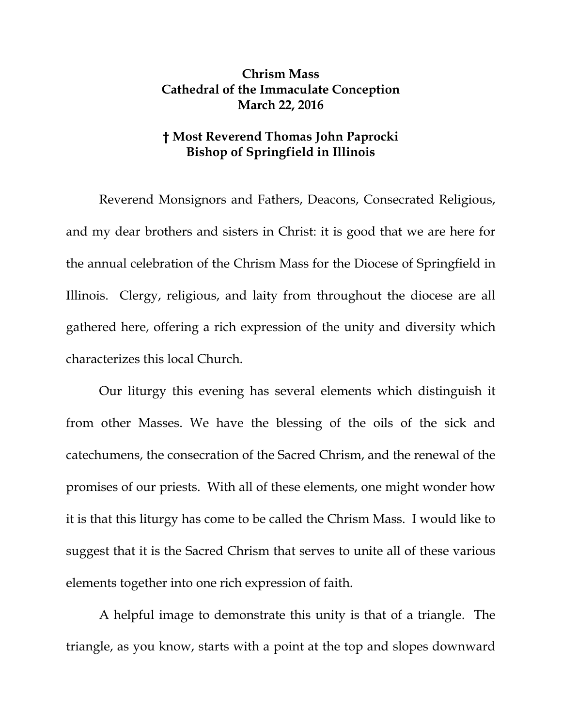## **Chrism Mass Cathedral of the Immaculate Conception March 22, 2016**

## **† Most Reverend Thomas John Paprocki Bishop of Springfield in Illinois**

Reverend Monsignors and Fathers, Deacons, Consecrated Religious, and my dear brothers and sisters in Christ: it is good that we are here for the annual celebration of the Chrism Mass for the Diocese of Springfield in Illinois. Clergy, religious, and laity from throughout the diocese are all gathered here, offering a rich expression of the unity and diversity which characterizes this local Church.

Our liturgy this evening has several elements which distinguish it from other Masses. We have the blessing of the oils of the sick and catechumens, the consecration of the Sacred Chrism, and the renewal of the promises of our priests. With all of these elements, one might wonder how it is that this liturgy has come to be called the Chrism Mass. I would like to suggest that it is the Sacred Chrism that serves to unite all of these various elements together into one rich expression of faith.

A helpful image to demonstrate this unity is that of a triangle. The triangle, as you know, starts with a point at the top and slopes downward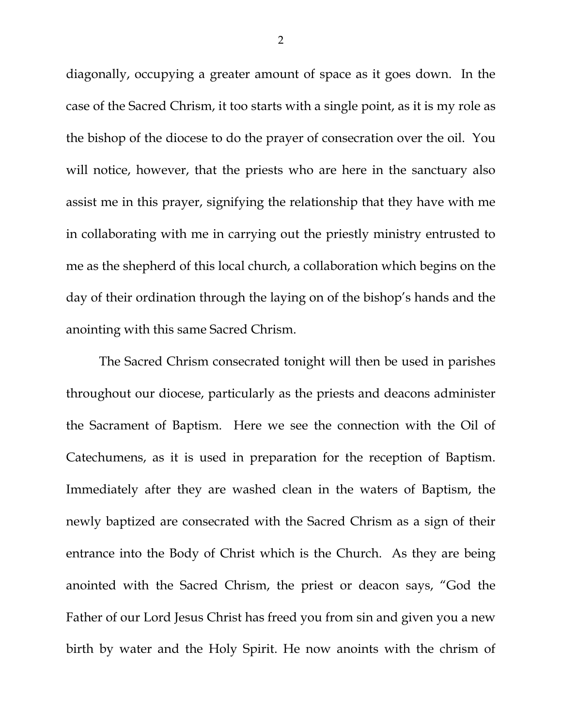diagonally, occupying a greater amount of space as it goes down. In the case of the Sacred Chrism, it too starts with a single point, as it is my role as the bishop of the diocese to do the prayer of consecration over the oil. You will notice, however, that the priests who are here in the sanctuary also assist me in this prayer, signifying the relationship that they have with me in collaborating with me in carrying out the priestly ministry entrusted to me as the shepherd of this local church, a collaboration which begins on the day of their ordination through the laying on of the bishop's hands and the anointing with this same Sacred Chrism.

The Sacred Chrism consecrated tonight will then be used in parishes throughout our diocese, particularly as the priests and deacons administer the Sacrament of Baptism. Here we see the connection with the Oil of Catechumens, as it is used in preparation for the reception of Baptism. Immediately after they are washed clean in the waters of Baptism, the newly baptized are consecrated with the Sacred Chrism as a sign of their entrance into the Body of Christ which is the Church. As they are being anointed with the Sacred Chrism, the priest or deacon says, "God the Father of our Lord Jesus Christ has freed you from sin and given you a new birth by water and the Holy Spirit. He now anoints with the chrism of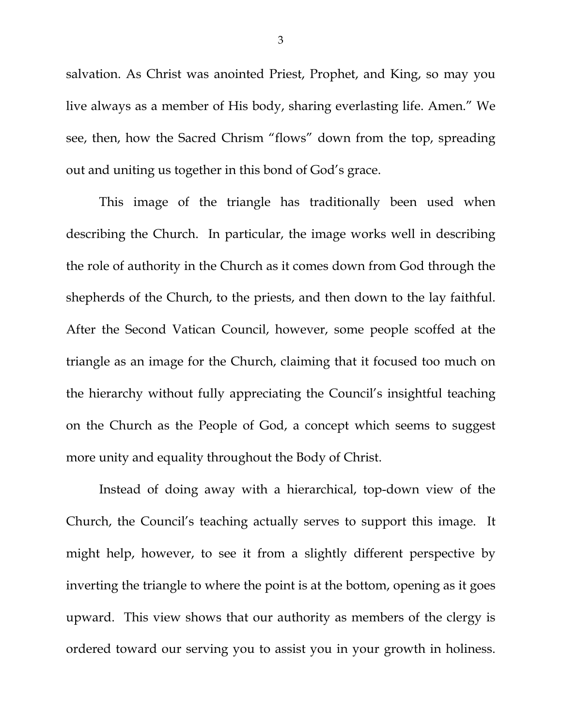salvation. As Christ was anointed Priest, Prophet, and King, so may you live always as a member of His body, sharing everlasting life. Amen." We see, then, how the Sacred Chrism "flows" down from the top, spreading out and uniting us together in this bond of God's grace.

This image of the triangle has traditionally been used when describing the Church. In particular, the image works well in describing the role of authority in the Church as it comes down from God through the shepherds of the Church, to the priests, and then down to the lay faithful. After the Second Vatican Council, however, some people scoffed at the triangle as an image for the Church, claiming that it focused too much on the hierarchy without fully appreciating the Council's insightful teaching on the Church as the People of God, a concept which seems to suggest more unity and equality throughout the Body of Christ.

Instead of doing away with a hierarchical, top-down view of the Church, the Council's teaching actually serves to support this image. It might help, however, to see it from a slightly different perspective by inverting the triangle to where the point is at the bottom, opening as it goes upward. This view shows that our authority as members of the clergy is ordered toward our serving you to assist you in your growth in holiness.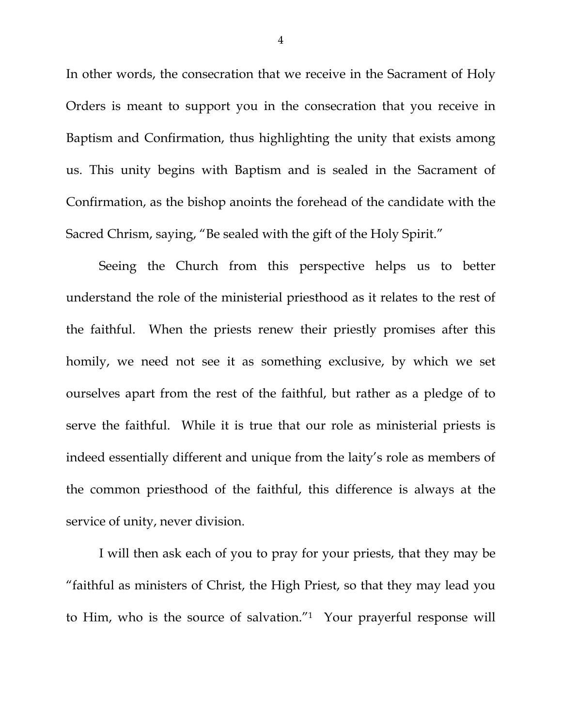In other words, the consecration that we receive in the Sacrament of Holy Orders is meant to support you in the consecration that you receive in Baptism and Confirmation, thus highlighting the unity that exists among us. This unity begins with Baptism and is sealed in the Sacrament of Confirmation, as the bishop anoints the forehead of the candidate with the Sacred Chrism, saying, "Be sealed with the gift of the Holy Spirit."

Seeing the Church from this perspective helps us to better understand the role of the ministerial priesthood as it relates to the rest of the faithful. When the priests renew their priestly promises after this homily, we need not see it as something exclusive, by which we set ourselves apart from the rest of the faithful, but rather as a pledge of to serve the faithful. While it is true that our role as ministerial priests is indeed essentially different and unique from the laity's role as members of the common priesthood of the faithful, this difference is always at the service of unity, never division.

I will then ask each of you to pray for your priests, that they may be "faithful as ministers of Christ, the High Priest, so that they may lead you to Him, who is the source of salvation."1 Your prayerful response will

4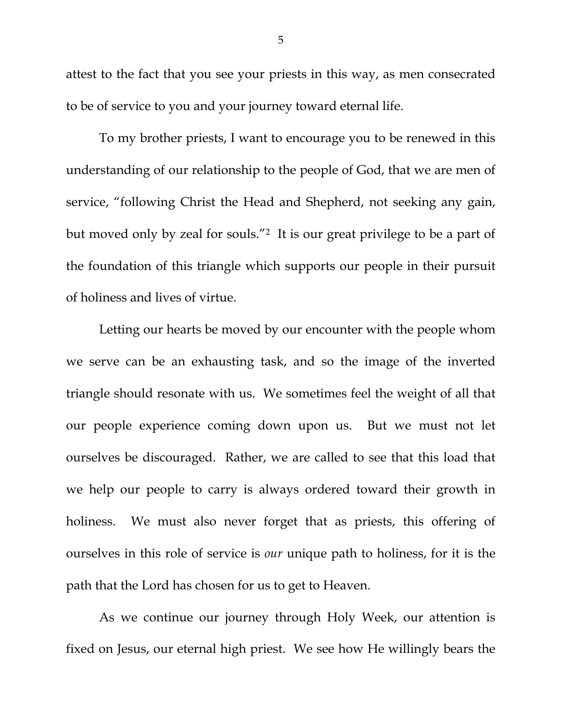attest to the fact that you see your priests in this way, as men consecrated to be of service to you and your journey toward eternal life.

To my brother priests, I want to encourage you to be renewed in this understanding of our relationship to the people of God, that we are men of service, "following Christ the Head and Shepherd, not seeking any gain, but moved only by zeal for souls."2 It is our great privilege to be a part of the foundation of this triangle which supports our people in their pursuit of holiness and lives of virtue.

Letting our hearts be moved by our encounter with the people whom we serve can be an exhausting task, and so the image of the inverted triangle should resonate with us. We sometimes feel the weight of all that our people experience coming down upon us. But we must not let ourselves be discouraged. Rather, we are called to see that this load that we help our people to carry is always ordered toward their growth in holiness. We must also never forget that as priests, this offering of ourselves in this role of service is *our* unique path to holiness, for it is the path that the Lord has chosen for us to get to Heaven.

 As we continue our journey through Holy Week, our attention is fixed on Jesus, our eternal high priest. We see how He willingly bears the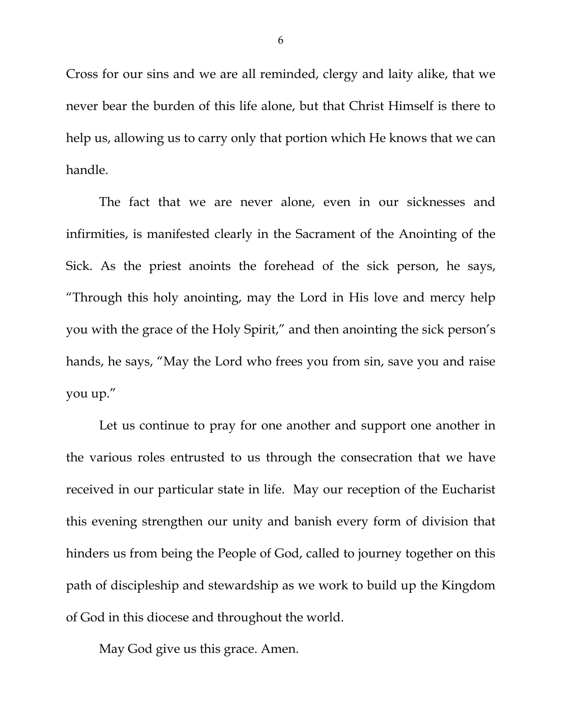Cross for our sins and we are all reminded, clergy and laity alike, that we never bear the burden of this life alone, but that Christ Himself is there to help us, allowing us to carry only that portion which He knows that we can handle.

 The fact that we are never alone, even in our sicknesses and infirmities, is manifested clearly in the Sacrament of the Anointing of the Sick. As the priest anoints the forehead of the sick person, he says, "Through this holy anointing, may the Lord in His love and mercy help you with the grace of the Holy Spirit," and then anointing the sick person's hands, he says, "May the Lord who frees you from sin, save you and raise you up."

 Let us continue to pray for one another and support one another in the various roles entrusted to us through the consecration that we have received in our particular state in life. May our reception of the Eucharist this evening strengthen our unity and banish every form of division that hinders us from being the People of God, called to journey together on this path of discipleship and stewardship as we work to build up the Kingdom of God in this diocese and throughout the world.

May God give us this grace. Amen.